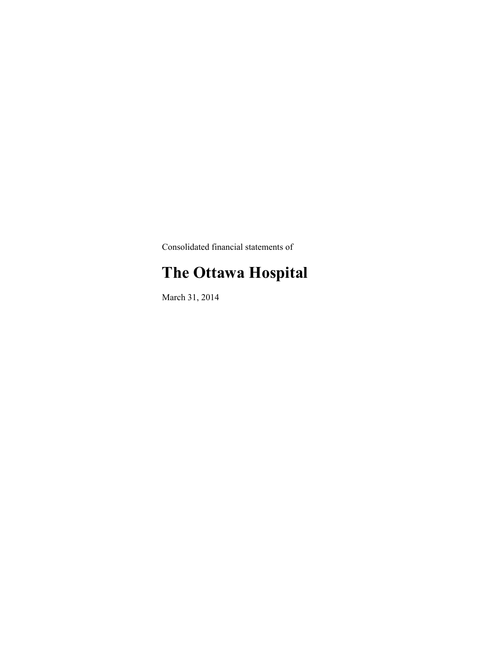Consolidated financial statements of

# **The Ottawa Hospital**

March 31, 2014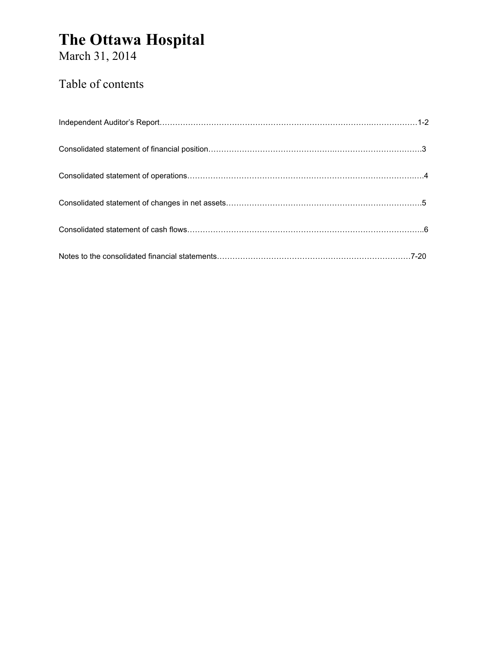March 31, 2014

### Table of contents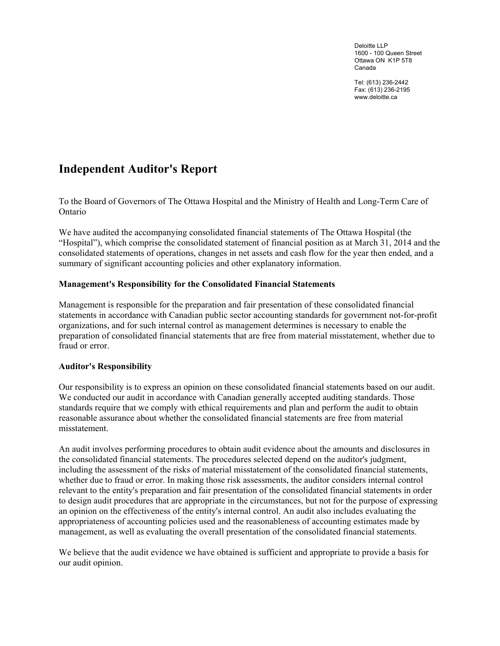Deloitte LLP 1600 - 100 Queen Street Ottawa ON K1P 5T8 Canada

Tel: (613) 236-2442 Fax: (613) 236-2195 <www.deloitte.ca>

### <span id="page-2-0"></span>**Independent Auditor's Report**

To the Board of Governors of The Ottawa Hospital and the Ministry of Health and Long-Term Care of Ontario

We have audited the accompanying consolidated financial statements of The Ottawa Hospital (the "Hospital"), which comprise the consolidated statement of financial position as at March 31, 2014 and the consolidated statements of operations, changes in net assets and cash flow for the year then ended, and a summary of significant accounting policies and other explanatory information.

#### **Management's Responsibility for the Consolidated Financial Statements**

Management is responsible for the preparation and fair presentation of these consolidated financial statements in accordance with Canadian public sector accounting standards for government not-for-profit organizations, and for such internal control as management determines is necessary to enable the preparation of consolidated financial statements that are free from material misstatement, whether due to fraud or error.

#### **Auditor's Responsibility**

Our responsibility is to express an opinion on these consolidated financial statements based on our audit. We conducted our audit in accordance with Canadian generally accepted auditing standards. Those standards require that we comply with ethical requirements and plan and perform the audit to obtain reasonable assurance about whether the consolidated financial statements are free from material misstatement.

An audit involves performing procedures to obtain audit evidence about the amounts and disclosures in the consolidated financial statements. The procedures selected depend on the auditor's judgment, including the assessment of the risks of material misstatement of the consolidated financial statements, whether due to fraud or error. In making those risk assessments, the auditor considers internal control relevant to the entity's preparation and fair presentation of the consolidated financial statements in order to design audit procedures that are appropriate in the circumstances, but not for the purpose of expressing an opinion on the effectiveness of the entity's internal control. An audit also includes evaluating the appropriateness of accounting policies used and the reasonableness of accounting estimates made by management, as well as evaluating the overall presentation of the consolidated financial statements.

We believe that the audit evidence we have obtained is sufficient and appropriate to provide a basis for our audit opinion.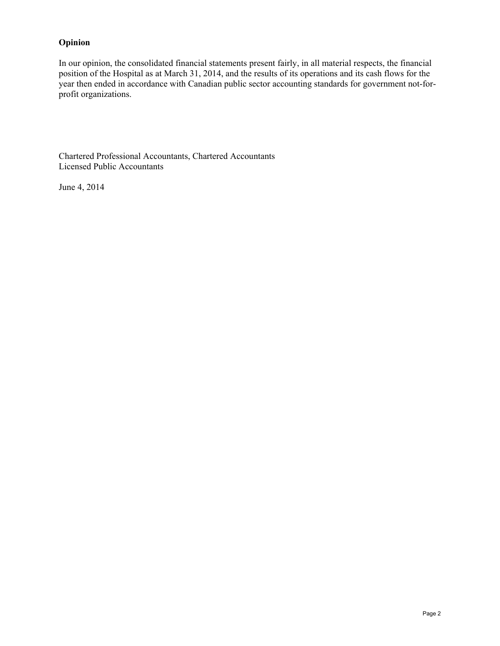#### **Opinion**

In our opinion, the consolidated financial statements present fairly, in all material respects, the financial position of the Hospital as at March 31, 2014, and the results of its operations and its cash flows for the year then ended in accordance with Canadian public sector accounting standards for government not-forprofit organizations.

Chartered Professional Accountants, Chartered Accountants Licensed Public Accountants

June 4, 2014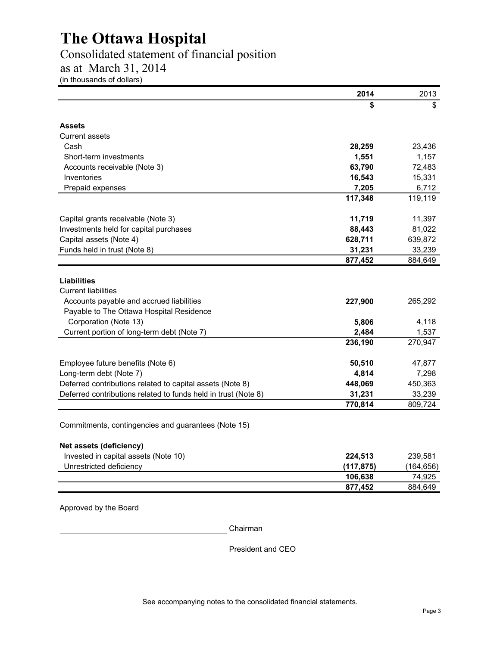### <span id="page-4-0"></span>Consolidated statement of financial position

as at March 31, 2014

(in thousands of dollars)

|                                                                | 2014       | 2013       |
|----------------------------------------------------------------|------------|------------|
|                                                                | \$         | \$         |
| Assets                                                         |            |            |
| <b>Current assets</b>                                          |            |            |
| Cash                                                           | 28,259     | 23,436     |
| Short-term investments                                         | 1,551      | 1,157      |
| Accounts receivable (Note 3)                                   | 63,790     | 72,483     |
| Inventories                                                    | 16,543     | 15,331     |
| Prepaid expenses                                               | 7,205      | 6,712      |
|                                                                | 117,348    | 119,119    |
| Capital grants receivable (Note 3)                             | 11,719     | 11,397     |
| Investments held for capital purchases                         | 88,443     | 81,022     |
| Capital assets (Note 4)                                        | 628,711    | 639,872    |
| Funds held in trust (Note 8)                                   | 31,231     | 33,239     |
|                                                                | 877,452    | 884,649    |
| <b>Liabilities</b>                                             |            |            |
| <b>Current liabilities</b>                                     |            |            |
| Accounts payable and accrued liabilities                       | 227,900    | 265,292    |
| Payable to The Ottawa Hospital Residence                       |            |            |
| Corporation (Note 13)                                          | 5,806      | 4,118      |
| Current portion of long-term debt (Note 7)                     | 2,484      | 1,537      |
|                                                                | 236,190    | 270,947    |
| Employee future benefits (Note 6)                              | 50,510     | 47,877     |
| Long-term debt (Note 7)                                        | 4,814      | 7,298      |
| Deferred contributions related to capital assets (Note 8)      | 448,069    | 450,363    |
| Deferred contributions related to funds held in trust (Note 8) | 31,231     | 33,239     |
|                                                                | 770,814    | 809,724    |
| Commitments, contingencies and guarantees (Note 15)            |            |            |
| Net assets (deficiency)                                        |            |            |
| Invested in capital assets (Note 10)                           | 224,513    | 239,581    |
| Unrestricted deficiency                                        | (117, 875) | (164, 656) |
|                                                                | 106,638    | 74,925     |
|                                                                | 877,452    | 884,649    |
| Approved by the Board                                          |            |            |

Chairman

President and CEO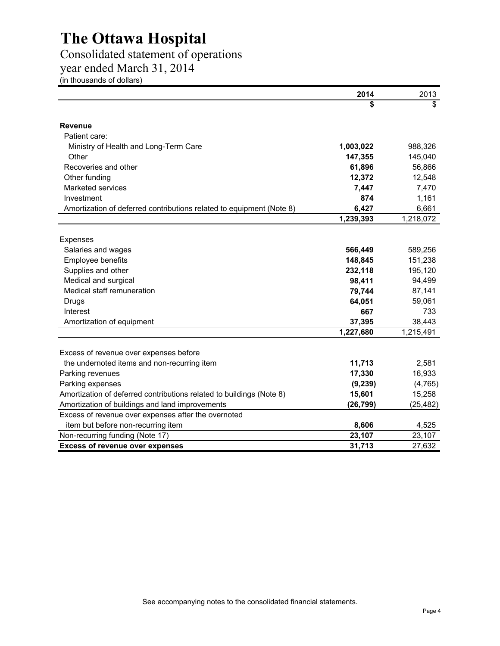### <span id="page-5-0"></span>Consolidated statement of operations

year ended March 31, 2014

(in thousands of dollars)

|                                                                      | 2014      | 2013                    |
|----------------------------------------------------------------------|-----------|-------------------------|
|                                                                      | \$        | $\overline{\mathbb{S}}$ |
| <b>Revenue</b>                                                       |           |                         |
| Patient care:                                                        |           |                         |
| Ministry of Health and Long-Term Care                                | 1,003,022 | 988,326                 |
| Other                                                                | 147,355   | 145,040                 |
| Recoveries and other                                                 | 61,896    | 56,866                  |
| Other funding                                                        | 12,372    | 12,548                  |
| Marketed services                                                    | 7,447     | 7,470                   |
| Investment                                                           | 874       | 1,161                   |
| Amortization of deferred contributions related to equipment (Note 8) | 6,427     | 6,661                   |
|                                                                      | 1,239,393 | 1,218,072               |
|                                                                      |           |                         |
| Expenses                                                             |           |                         |
| Salaries and wages                                                   | 566,449   | 589,256                 |
| Employee benefits                                                    | 148,845   | 151,238                 |
| Supplies and other                                                   | 232,118   | 195,120                 |
| Medical and surgical                                                 | 98,411    | 94,499                  |
| Medical staff remuneration                                           | 79,744    | 87,141                  |
| Drugs                                                                | 64,051    | 59,061                  |
| Interest                                                             | 667       | 733                     |
| Amortization of equipment                                            | 37,395    | 38,443                  |
|                                                                      | 1,227,680 | 1,215,491               |
|                                                                      |           |                         |
| Excess of revenue over expenses before                               |           |                         |
| the undernoted items and non-recurring item                          | 11,713    | 2,581                   |
| Parking revenues                                                     | 17,330    | 16,933                  |
| Parking expenses                                                     | (9, 239)  | (4, 765)                |
| Amortization of deferred contributions related to buildings (Note 8) | 15,601    | 15,258                  |
| Amortization of buildings and land improvements                      | (26, 799) | (25, 482)               |
| Excess of revenue over expenses after the overnoted                  |           |                         |
| item but before non-recurring item                                   | 8,606     | 4,525                   |
| Non-recurring funding (Note 17)                                      | 23,107    | 23,107                  |
| <b>Excess of revenue over expenses</b>                               | 31,713    | 27,632                  |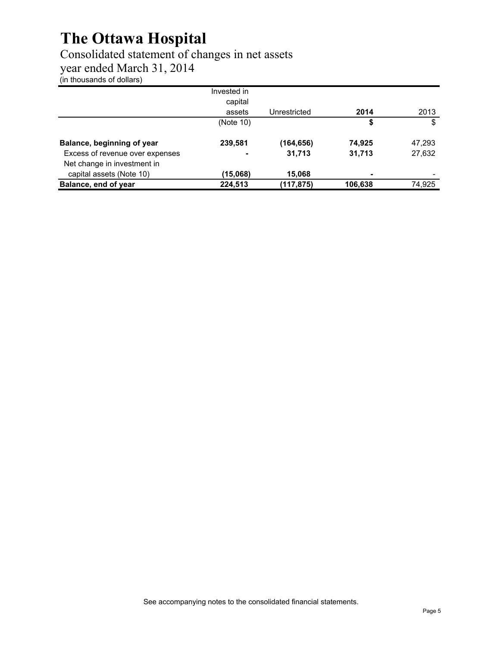### <span id="page-6-0"></span>Consolidated statement of changes in net assets

year ended March 31, 2014

(in thousands of dollars)

|                                 | Invested in<br>capital |              |         |        |
|---------------------------------|------------------------|--------------|---------|--------|
|                                 | assets                 | Unrestricted | 2014    | 2013   |
|                                 | (Note 10)              |              | \$      | \$     |
| Balance, beginning of year      | 239,581                | (164,656)    | 74,925  | 47,293 |
| Excess of revenue over expenses |                        | 31,713       | 31,713  | 27,632 |
| Net change in investment in     |                        |              |         |        |
| capital assets (Note 10)        | (15,068)               | 15,068       | ۰       |        |
| Balance, end of year            | 224,513                | (117,875)    | 106,638 | 74,925 |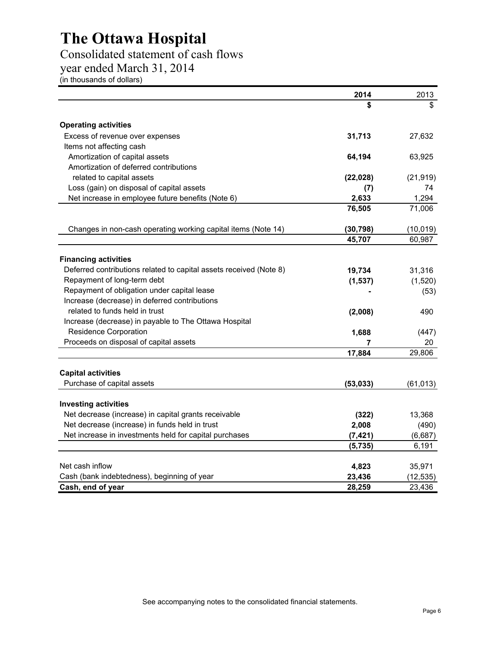### <span id="page-7-0"></span>Consolidated statement of cash flows

year ended March 31, 2014

(in thousands of dollars)

|                                                                    | 2014      | 2013      |
|--------------------------------------------------------------------|-----------|-----------|
|                                                                    | S         | \$        |
| <b>Operating activities</b>                                        |           |           |
| Excess of revenue over expenses                                    | 31,713    | 27,632    |
| Items not affecting cash                                           |           |           |
| Amortization of capital assets                                     | 64,194    | 63,925    |
| Amortization of deferred contributions                             |           |           |
| related to capital assets                                          | (22, 028) | (21, 919) |
| Loss (gain) on disposal of capital assets                          | (7)       | 74        |
| Net increase in employee future benefits (Note 6)                  | 2,633     | 1,294     |
|                                                                    | 76,505    | 71,006    |
| Changes in non-cash operating working capital items (Note 14)      | (30, 798) | (10, 019) |
|                                                                    | 45,707    | 60,987    |
|                                                                    |           |           |
| <b>Financing activities</b>                                        |           |           |
| Deferred contributions related to capital assets received (Note 8) | 19,734    | 31,316    |
| Repayment of long-term debt                                        | (1, 537)  | (1,520)   |
| Repayment of obligation under capital lease                        |           | (53)      |
| Increase (decrease) in deferred contributions                      |           |           |
| related to funds held in trust                                     | (2,008)   | 490       |
| Increase (decrease) in payable to The Ottawa Hospital              |           |           |
| <b>Residence Corporation</b>                                       | 1,688     | (447)     |
| Proceeds on disposal of capital assets                             | 7         | 20        |
|                                                                    | 17,884    | 29,806    |
| <b>Capital activities</b>                                          |           |           |
| Purchase of capital assets                                         | (53, 033) | (61, 013) |
|                                                                    |           |           |
| <b>Investing activities</b>                                        |           |           |
| Net decrease (increase) in capital grants receivable               | (322)     | 13,368    |
| Net decrease (increase) in funds held in trust                     | 2,008     | (490)     |
| Net increase in investments held for capital purchases             | (7, 421)  | (6,687)   |
|                                                                    | (5,735)   | 6,191     |
| Net cash inflow                                                    | 4,823     | 35,971    |
| Cash (bank indebtedness), beginning of year                        | 23,436    | (12, 535) |
| Cash, end of year                                                  | 28,259    | 23,436    |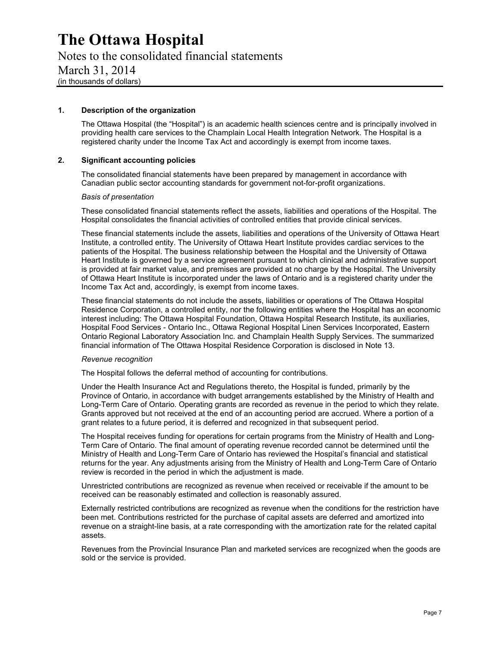<span id="page-8-0"></span>Notes to the consolidated financial statements March 31, 2014 (in thousands of dollars)

#### **1. Description of the organization**

The Ottawa Hospital (the "Hospital") is an academic health sciences centre and is principally involved in providing health care services to the Champlain Local Health Integration Network. The Hospital is a registered charity under the Income Tax Act and accordingly is exempt from income taxes.

#### **2. Significant accounting policies**

The consolidated financial statements have been prepared by management in accordance with Canadian public sector accounting standards for government not-for-profit organizations.

#### *Basis of presentation*

These consolidated financial statements reflect the assets, liabilities and operations of the Hospital. The Hospital consolidates the financial activities of controlled entities that provide clinical services.

These financial statements include the assets, liabilities and operations of the University of Ottawa Heart Institute, a controlled entity. The University of Ottawa Heart Institute provides cardiac services to the patients of the Hospital. The business relationship between the Hospital and the University of Ottawa Heart Institute is governed by a service agreement pursuant to which clinical and administrative support is provided at fair market value, and premises are provided at no charge by the Hospital. The University of Ottawa Heart Institute is incorporated under the laws of Ontario and is a registered charity under the Income Tax Act and, accordingly, is exempt from income taxes.

These financial statements do not include the assets, liabilities or operations of The Ottawa Hospital Residence Corporation, a controlled entity, nor the following entities where the Hospital has an economic interest including: The Ottawa Hospital Foundation, Ottawa Hospital Research Institute, its auxiliaries, Hospital Food Services - Ontario Inc., Ottawa Regional Hospital Linen Services Incorporated, Eastern Ontario Regional Laboratory Association Inc. and Champlain Health Supply Services. The summarized financial information of The Ottawa Hospital Residence Corporation is disclosed in Note 13.

#### *Revenue recognition*

The Hospital follows the deferral method of accounting for contributions.

Under the Health Insurance Act and Regulations thereto, the Hospital is funded, primarily by the Province of Ontario, in accordance with budget arrangements established by the Ministry of Health and Long-Term Care of Ontario. Operating grants are recorded as revenue in the period to which they relate. Grants approved but not received at the end of an accounting period are accrued. Where a portion of a grant relates to a future period, it is deferred and recognized in that subsequent period.

The Hospital receives funding for operations for certain programs from the Ministry of Health and Long-Term Care of Ontario. The final amount of operating revenue recorded cannot be determined until the Ministry of Health and Long-Term Care of Ontario has reviewed the Hospital's financial and statistical returns for the year. Any adjustments arising from the Ministry of Health and Long-Term Care of Ontario review is recorded in the period in which the adjustment is made.

Unrestricted contributions are recognized as revenue when received or receivable if the amount to be received can be reasonably estimated and collection is reasonably assured.

Externally restricted contributions are recognized as revenue when the conditions for the restriction have been met. Contributions restricted for the purchase of capital assets are deferred and amortized into revenue on a straight-line basis, at a rate corresponding with the amortization rate for the related capital assets.

Revenues from the Provincial Insurance Plan and marketed services are recognized when the goods are sold or the service is provided.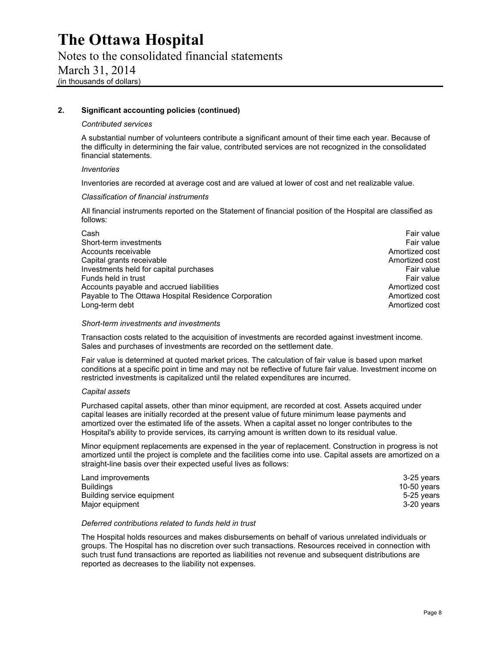Notes to the consolidated financial statements March 31, 2014 (in thousands of dollars)

#### **2. Significant accounting policies (continued)**

#### *Contributed services*

A substantial number of volunteers contribute a significant amount of their time each year. Because of the difficulty in determining the fair value, contributed services are not recognized in the consolidated financial statements.

#### *Inventories*

Inventories are recorded at average cost and are valued at lower of cost and net realizable value.

#### *Classification of financial instruments*

All financial instruments reported on the Statement of financial position of the Hospital are classified as follows:

| Cash                                                 | Fair value     |
|------------------------------------------------------|----------------|
| Short-term investments                               | Fair value     |
| Accounts receivable                                  | Amortized cost |
| Capital grants receivable                            | Amortized cost |
| Investments held for capital purchases               | Fair value     |
| Funds held in trust                                  | Fair value     |
| Accounts payable and accrued liabilities             | Amortized cost |
| Payable to The Ottawa Hospital Residence Corporation | Amortized cost |
| Long-term debt                                       | Amortized cost |

#### *Short-term investments and investments*

Transaction costs related to the acquisition of investments are recorded against investment income. Sales and purchases of investments are recorded on the settlement date.

Fair value is determined at quoted market prices. The calculation of fair value is based upon market conditions at a specific point in time and may not be reflective of future fair value. Investment income on restricted investments is capitalized until the related expenditures are incurred.

#### *Capital assets*

Purchased capital assets, other than minor equipment, are recorded at cost. Assets acquired under capital leases are initially recorded at the present value of future minimum lease payments and amortized over the estimated life of the assets. When a capital asset no longer contributes to the Hospital's ability to provide services, its carrying amount is written down to its residual value.

Minor equipment replacements are expensed in the year of replacement. Construction in progress is not amortized until the project is complete and the facilities come into use. Capital assets are amortized on a straight-line basis over their expected useful lives as follows:

| Land improvements          | 3-25 years    |
|----------------------------|---------------|
| Buildings                  | 10-50 $years$ |
| Building service equipment | 5-25 years    |
| Major equipment            | 3-20 vears    |

#### *Deferred contributions related to funds held in trust*

The Hospital holds resources and makes disbursements on behalf of various unrelated individuals or groups. The Hospital has no discretion over such transactions. Resources received in connection with such trust fund transactions are reported as liabilities not revenue and subsequent distributions are reported as decreases to the liability not expenses.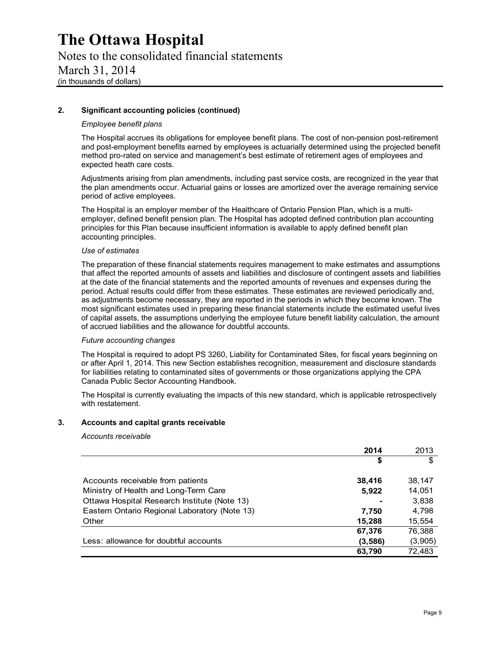Notes to the consolidated financial statements March 31, 2014 (in thousands of dollars)

#### **2. Significant accounting policies (continued)**

#### *Employee benefit plans*

The Hospital accrues its obligations for employee benefit plans. The cost of non-pension post-retirement and post-employment benefits earned by employees is actuarially determined using the projected benefit method pro-rated on service and management's best estimate of retirement ages of employees and expected heath care costs.

Adjustments arising from plan amendments, including past service costs, are recognized in the year that the plan amendments occur. Actuarial gains or losses are amortized over the average remaining service period of active employees.

The Hospital is an employer member of the Healthcare of Ontario Pension Plan, which is a multiemployer, defined benefit pension plan. The Hospital has adopted defined contribution plan accounting principles for this Plan because insufficient information is available to apply defined benefit plan accounting principles.

#### *Use of estimates*

The preparation of these financial statements requires management to make estimates and assumptions that affect the reported amounts of assets and liabilities and disclosure of contingent assets and liabilities at the date of the financial statements and the reported amounts of revenues and expenses during the period. Actual results could differ from these estimates. These estimates are reviewed periodically and, as adjustments become necessary, they are reported in the periods in which they become known. The most significant estimates used in preparing these financial statements include the estimated useful lives of capital assets, the assumptions underlying the employee future benefit liability calculation, the amount of accrued liabilities and the allowance for doubtful accounts.

#### *Future accounting changes*

The Hospital is required to adopt PS 3260, Liability for Contaminated Sites, for fiscal years beginning on or after April 1, 2014. This new Section establishes recognition, measurement and disclosure standards for liabilities relating to contaminated sites of governments or those organizations applying the CPA Canada Public Sector Accounting Handbook.

The Hospital is currently evaluating the impacts of this new standard, which is applicable retrospectively with restatement.

#### **3. Accounts and capital grants receivable**

#### *Accounts receivable*

| \$                                                     | \$      |
|--------------------------------------------------------|---------|
|                                                        |         |
| Accounts receivable from patients<br>38,416            | 38,147  |
| Ministry of Health and Long-Term Care<br>5,922         | 14,051  |
| Ottawa Hospital Research Institute (Note 13)           | 3,838   |
| Eastern Ontario Regional Laboratory (Note 13)<br>7,750 | 4.798   |
| Other<br>15,288                                        | 15,554  |
| 67,376                                                 | 76,388  |
| Less: allowance for doubtful accounts<br>(3,586)       | (3,905) |
| 63,790                                                 | 72,483  |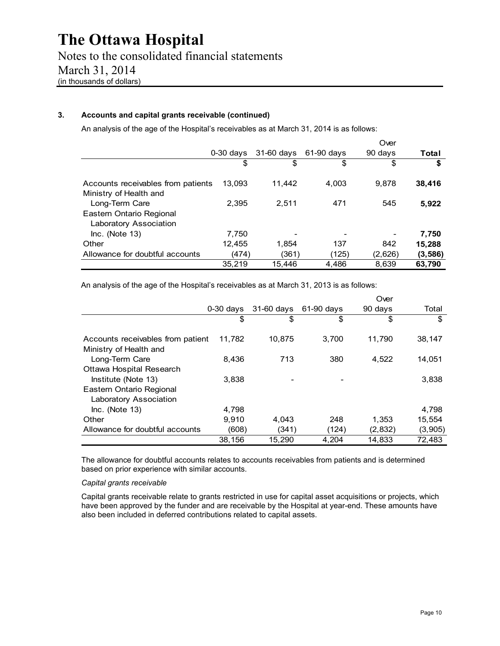#### **3. Accounts and capital grants receivable (continued)**

An analysis of the age of the Hospital's receivables as at March 31, 2014 is as follows:

|                                                    |             |            |            | Over    |          |
|----------------------------------------------------|-------------|------------|------------|---------|----------|
|                                                    | $0-30$ days | 31-60 days | 61-90 days | 90 days | Total    |
|                                                    | \$          | \$         | \$         | \$      | \$       |
| Accounts receivables from patients                 | 13,093      | 11.442     | 4.003      | 9.878   | 38,416   |
| Ministry of Health and<br>Long-Term Care           | 2.395       | 2.511      | 471        | 545     | 5,922    |
| Eastern Ontario Regional<br>Laboratory Association |             |            |            |         |          |
| $Inc.$ (Note 13)                                   | 7,750       |            |            |         | 7,750    |
| Other                                              | 12,455      | 1,854      | 137        | 842     | 15,288   |
| Allowance for doubtful accounts                    | (474)       | (361)      | (125)      | (2,626) | (3, 586) |
|                                                    | 35.219      | 15.446     | 4.486      | 8.639   | 63.790   |

An analysis of the age of the Hospital's receivables as at March 31, 2013 is as follows:

|                                   |             |            |              | Over    |         |
|-----------------------------------|-------------|------------|--------------|---------|---------|
|                                   | $0-30$ days | 31-60 days | $61-90$ days | 90 days | Total   |
|                                   | \$          | S          | \$           | \$      | \$      |
| Accounts receivables from patient | 11.782      | 10.875     | 3.700        | 11.790  | 38.147  |
| Ministry of Health and            |             |            |              |         |         |
| Long-Term Care                    | 8.436       | 713        | 380          | 4,522   | 14,051  |
| Ottawa Hospital Research          |             |            |              |         |         |
| Institute (Note 13)               | 3.838       |            |              |         | 3,838   |
| Eastern Ontario Regional          |             |            |              |         |         |
| Laboratory Association            |             |            |              |         |         |
| $Inc.$ (Note 13)                  | 4.798       |            |              |         | 4,798   |
| Other                             | 9.910       | 4.043      | 248          | 1,353   | 15,554  |
| Allowance for doubtful accounts   | (608)       | (341)      | (124)        | (2,832) | (3,905) |
|                                   | 38,156      | 15,290     | 4,204        | 14,833  | 72.483  |

The allowance for doubtful accounts relates to accounts receivables from patients and is determined based on prior experience with similar accounts.

#### *Capital grants receivable*

Capital grants receivable relate to grants restricted in use for capital asset acquisitions or projects, which have been approved by the funder and are receivable by the Hospital at year-end. These amounts have also been included in deferred contributions related to capital assets.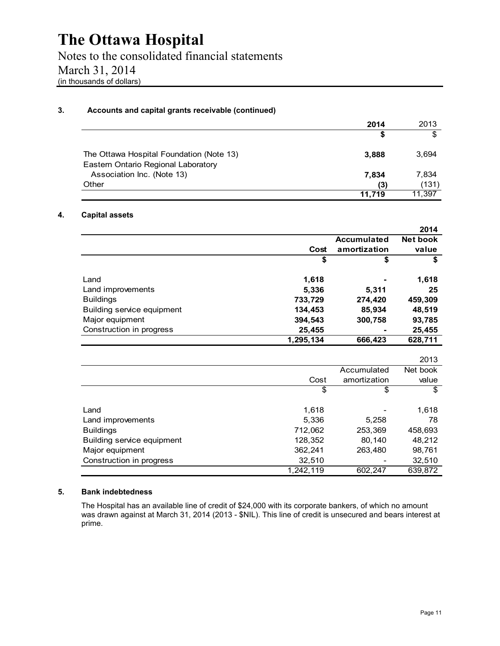Notes to the consolidated financial statements March 31, 2014 (in thousands of dollars)

#### **3. Accounts and capital grants receivable (continued)**

|                                                                                 | 2014   | 2013   |
|---------------------------------------------------------------------------------|--------|--------|
|                                                                                 | S      | S      |
| The Ottawa Hospital Foundation (Note 13)<br>Eastern Ontario Regional Laboratory | 3.888  | 3,694  |
| Association Inc. (Note 13)                                                      | 7,834  | 7,834  |
| Other                                                                           | (3)    | (131)  |
|                                                                                 | 11.719 | 11.397 |

#### **4. Capital assets**

|                            |           |                    | 2014     |
|----------------------------|-----------|--------------------|----------|
|                            |           | <b>Accumulated</b> | Net book |
|                            | Cost      | amortization       | value    |
|                            | \$        | \$                 | \$       |
| Land                       | 1,618     |                    | 1,618    |
| Land improvements          | 5,336     | 5,311              | 25       |
| <b>Buildings</b>           | 733,729   | 274,420            | 459,309  |
| Building service equipment | 134,453   | 85,934             | 48,519   |
| Major equipment            | 394,543   | 300,758            | 93,785   |
| Construction in progress   | 25,455    |                    | 25,455   |
|                            | 1,295,134 | 666,423            | 628,711  |

|                            |           |              | 2013     |
|----------------------------|-----------|--------------|----------|
|                            |           | Accumulated  | Net book |
|                            | Cost      | amortization | value    |
|                            | \$        | \$           | \$       |
| Land                       | 1,618     |              | 1,618    |
| Land improvements          | 5,336     | 5,258        | 78       |
| <b>Buildings</b>           | 712,062   | 253,369      | 458,693  |
| Building service equipment | 128,352   | 80,140       | 48,212   |
| Major equipment            | 362,241   | 263,480      | 98,761   |
| Construction in progress   | 32,510    |              | 32,510   |
|                            | 1,242,119 | 602,247      | 639,872  |

#### **5. Bank indebtedness**

The Hospital has an available line of credit of \$24,000 with its corporate bankers, of which no amount was drawn against at March 31, 2014 (2013 - \$NIL). This line of credit is unsecured and bears interest at prime.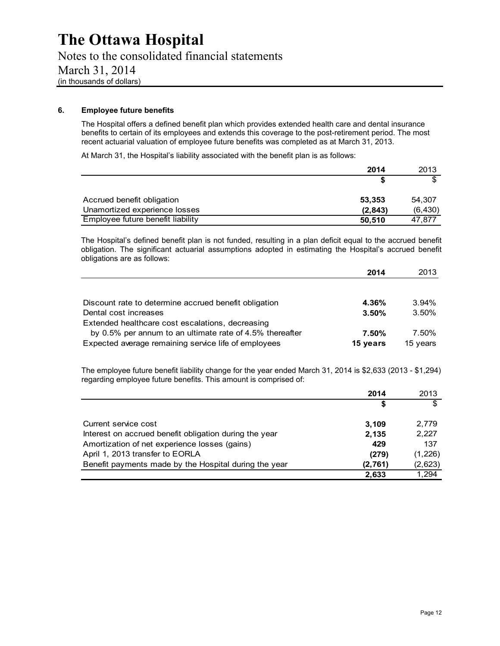Notes to the consolidated financial statements March 31, 2014 (in thousands of dollars)

#### **6. Employee future benefits**

The Hospital offers a defined benefit plan which provides extended health care and dental insurance benefits to certain of its employees and extends this coverage to the post-retirement period. The most recent actuarial valuation of employee future benefits was completed as at March 31, 2013.

At March 31, the Hospital's liability associated with the benefit plan is as follows:

|                                   | 2014    | 2013     |
|-----------------------------------|---------|----------|
|                                   |         |          |
| Accrued benefit obligation        | 53.353  | 54,307   |
| Unamortized experience losses     | (2,843) | (6, 430) |
| Employee future benefit liability | 50.510  | 47.877   |

The Hospital's defined benefit plan is not funded, resulting in a plan deficit equal to the accrued benefit obligation. The significant actuarial assumptions adopted in estimating the Hospital's accrued benefit obligations are as follows:

|                                                          | 2014     | 2013     |
|----------------------------------------------------------|----------|----------|
|                                                          |          |          |
| Discount rate to determine accrued benefit obligation    | 4.36%    | $3.94\%$ |
| Dental cost increases                                    | 3.50%    | 3.50%    |
| Extended healthcare cost escalations, decreasing         |          |          |
| by 0.5% per annum to an ultimate rate of 4.5% thereafter | 7.50%    | 7.50%    |
| Expected average remaining service life of employees     | 15 years | 15 years |

The employee future benefit liability change for the year ended March 31, 2014 is \$2,633 (2013 - \$1,294) regarding employee future benefits. This amount is comprised of:

|                                                        | 2014    | 2013    |
|--------------------------------------------------------|---------|---------|
|                                                        | \$      |         |
| Current service cost                                   | 3,109   | 2,779   |
| Interest on accrued benefit obligation during the year | 2,135   | 2,227   |
| Amortization of net experience losses (gains)          | 429     | 137     |
| April 1, 2013 transfer to EORLA                        | (279)   | (1,226) |
| Benefit payments made by the Hospital during the year  | (2,761) | (2,623) |
|                                                        | 2,633   | 1,294   |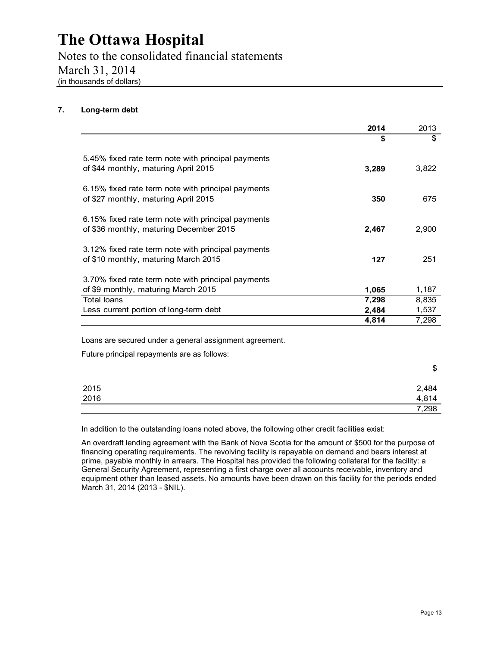Notes to the consolidated financial statements March 31, 2014 (in thousands of dollars)

#### **7. Long-term debt**

|                                                                                               | 2014  | 2013  |
|-----------------------------------------------------------------------------------------------|-------|-------|
|                                                                                               | \$    | \$    |
| 5.45% fixed rate term note with principal payments<br>of \$44 monthly, maturing April 2015    | 3,289 | 3,822 |
| 6.15% fixed rate term note with principal payments<br>of \$27 monthly, maturing April 2015    | 350   | 675   |
| 6.15% fixed rate term note with principal payments<br>of \$36 monthly, maturing December 2015 | 2,467 | 2,900 |
| 3.12% fixed rate term note with principal payments<br>of \$10 monthly, maturing March 2015    | 127   | 251   |
| 3.70% fixed rate term note with principal payments                                            |       |       |
| of \$9 monthly, maturing March 2015                                                           | 1,065 | 1,187 |
| <b>Total loans</b>                                                                            | 7,298 | 8,835 |
| Less current portion of long-term debt                                                        | 2,484 | 1,537 |
|                                                                                               | 4,814 | 7,298 |

Future principal repayments are as follows:

|              | \$             |
|--------------|----------------|
| 2015<br>2016 | 2,484<br>4,814 |
|              |                |
|              | 7,298          |

In addition to the outstanding loans noted above, the following other credit facilities exist:

An overdraft lending agreement with the Bank of Nova Scotia for the amount of \$500 for the purpose of financing operating requirements. The revolving facility is repayable on demand and bears interest at prime, payable monthly in arrears. The Hospital has provided the following collateral for the facility: a General Security Agreement, representing a first charge over all accounts receivable, inventory and equipment other than leased assets. No amounts have been drawn on this facility for the periods ended March 31, 2014 (2013 - \$NIL).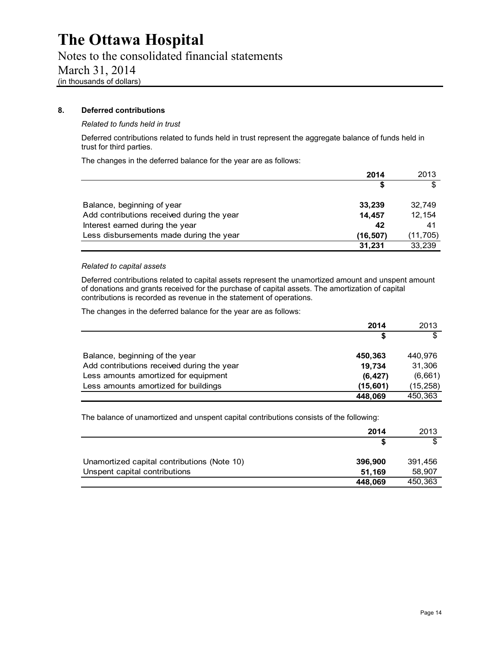Notes to the consolidated financial statements March 31, 2014 (in thousands of dollars)

#### **8. Deferred contributions**

#### *Related to funds held in trust*

Deferred contributions related to funds held in trust represent the aggregate balance of funds held in trust for third parties.

The changes in the deferred balance for the year are as follows:

|                                            | 2014      | 2013      |
|--------------------------------------------|-----------|-----------|
|                                            | S         |           |
| Balance, beginning of year                 | 33,239    | 32,749    |
| Add contributions received during the year | 14.457    | 12,154    |
| Interest earned during the year            | 42        | 41        |
| Less disbursements made during the year    | (16, 507) | (11, 705) |
|                                            | 31,231    | 33,239    |

#### *Related to capital assets*

Deferred contributions related to capital assets represent the unamortized amount and unspent amount of donations and grants received for the purchase of capital assets. The amortization of capital contributions is recorded as revenue in the statement of operations.

The changes in the deferred balance for the year are as follows:

|                                            | 2014      | 2013      |
|--------------------------------------------|-----------|-----------|
|                                            | S         | \$        |
| Balance, beginning of the year             | 450,363   | 440,976   |
| Add contributions received during the year | 19,734    | 31,306    |
| Less amounts amortized for equipment       | (6, 427)  | (6,661)   |
| Less amounts amortized for buildings       | (15, 601) | (15, 258) |
|                                            | 448,069   | 450,363   |

The balance of unamortized and unspent capital contributions consists of the following:

|                                             | 2014    | 2013    |
|---------------------------------------------|---------|---------|
|                                             |         |         |
| Unamortized capital contributions (Note 10) | 396,900 | 391,456 |
| Unspent capital contributions               | 51.169  | 58,907  |
|                                             | 448,069 | 450,363 |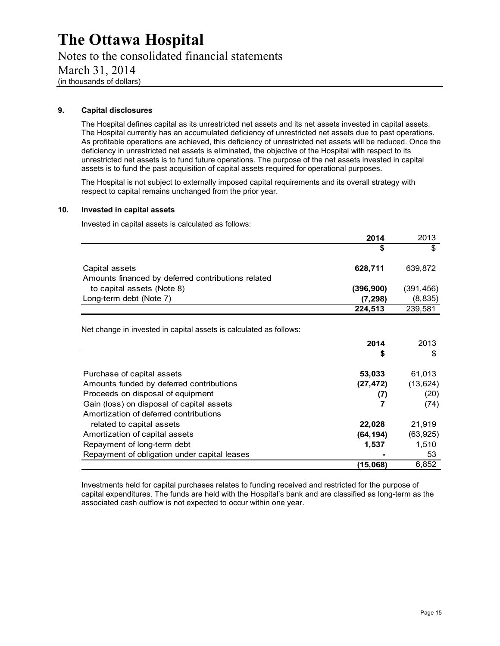Notes to the consolidated financial statements March 31, 2014 (in thousands of dollars)

#### **9. Capital disclosures**

The Hospital defines capital as its unrestricted net assets and its net assets invested in capital assets. The Hospital currently has an accumulated deficiency of unrestricted net assets due to past operations. As profitable operations are achieved, this deficiency of unrestricted net assets will be reduced. Once the deficiency in unrestricted net assets is eliminated, the objective of the Hospital with respect to its unrestricted net assets is to fund future operations. The purpose of the net assets invested in capital assets is to fund the past acquisition of capital assets required for operational purposes.

The Hospital is not subject to externally imposed capital requirements and its overall strategy with respect to capital remains unchanged from the prior year.

#### **10. Invested in capital assets**

Invested in capital assets is calculated as follows:

|                                                                      | 2014       | 2013       |
|----------------------------------------------------------------------|------------|------------|
|                                                                      | \$         | \$         |
| Capital assets<br>Amounts financed by deferred contributions related | 628.711    | 639,872    |
| to capital assets (Note 8)                                           | (396, 900) | (391, 456) |
| Long-term debt (Note 7)                                              | (7, 298)   | (8, 835)   |
|                                                                      | 224.513    | 239,581    |

Net change in invested in capital assets is calculated as follows:

|                                              | 2014      | 2013      |
|----------------------------------------------|-----------|-----------|
|                                              | \$        | \$        |
| Purchase of capital assets                   | 53,033    | 61,013    |
| Amounts funded by deferred contributions     | (27, 472) | (13, 624) |
| Proceeds on disposal of equipment            | (7)       | (20)      |
| Gain (loss) on disposal of capital assets    | 7         | (74)      |
| Amortization of deferred contributions       |           |           |
| related to capital assets                    | 22,028    | 21.919    |
| Amortization of capital assets               | (64,194)  | (63, 925) |
| Repayment of long-term debt                  | 1,537     | 1.510     |
| Repayment of obligation under capital leases |           | 53        |
|                                              | (15,068)  | 6.852     |

Investments held for capital purchases relates to funding received and restricted for the purpose of capital expenditures. The funds are held with the Hospital's bank and are classified as long-term as the associated cash outflow is not expected to occur within one year.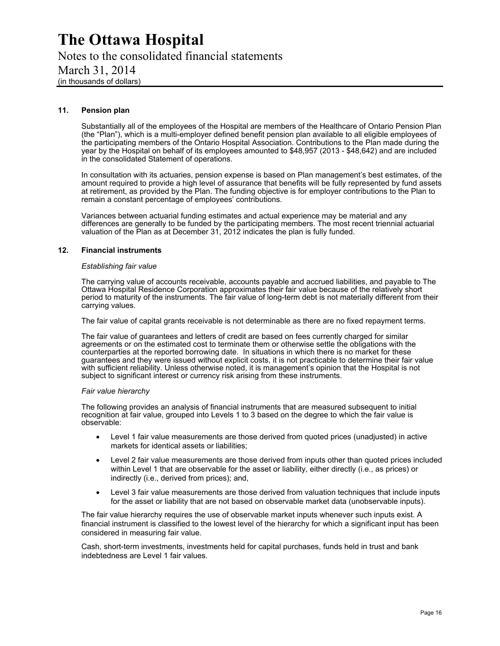Notes to the consolidated financial statements March 31, 2014 (in thousands of dollars)

#### **11. Pension plan**

Substantially all of the employees of the Hospital are members of the Healthcare of Ontario Pension Plan (the "Plan"), which is a multi-employer defined benefit pension plan available to all eligible employees of the participating members of the Ontario Hospital Association. Contributions to the Plan made during the year by the Hospital on behalf of its employees amounted to \$48,957 (2013 - \$48,642) and are included in the consolidated Statement of operations.

In consultation with its actuaries, pension expense is based on Plan management's best estimates, of the amount required to provide a high level of assurance that benefits will be fully represented by fund assets at retirement, as provided by the Plan. The funding objective is for employer contributions to the Plan to remain a constant percentage of employees' contributions.

Variances between actuarial funding estimates and actual experience may be material and any differences are generally to be funded by the participating members. The most recent triennial actuarial valuation of the Plan as at December 31, 2012 indicates the plan is fully funded.

#### **12. Financial instruments**

#### *Establishing fair value*

The carrying value of accounts receivable, accounts payable and accrued liabilities, and payable to The Ottawa Hospital Residence Corporation approximates their fair value because of the relatively short period to maturity of the instruments. The fair value of long-term debt is not materially different from their carrying values.

The fair value of capital grants receivable is not determinable as there are no fixed repayment terms.

The fair value of guarantees and letters of credit are based on fees currently charged for similar agreements or on the estimated cost to terminate them or otherwise settle the obligations with the counterparties at the reported borrowing date. In situations in which there is no market for these guarantees and they were issued without explicit costs, it is not practicable to determine their fair value with sufficient reliability. Unless otherwise noted, it is management's opinion that the Hospital is not subject to significant interest or currency risk arising from these instruments.

#### *Fair value hierarchy*

The following provides an analysis of financial instruments that are measured subsequent to initial recognition at fair value, grouped into Levels 1 to 3 based on the degree to which the fair value is observable:

- Level 1 fair value measurements are those derived from quoted prices (unadjusted) in active markets for identical assets or liabilities;
- Level 2 fair value measurements are those derived from inputs other than quoted prices included within Level 1 that are observable for the asset or liability, either directly (i.e., as prices) or indirectly (i.e., derived from prices); and,
- Level 3 fair value measurements are those derived from valuation techniques that include inputs for the asset or liability that are not based on observable market data (unobservable inputs).

The fair value hierarchy requires the use of observable market inputs whenever such inputs exist. A financial instrument is classified to the lowest level of the hierarchy for which a significant input has been considered in measuring fair value.

Cash, short-term investments, investments held for capital purchases, funds held in trust and bank indebtedness are Level 1 fair values.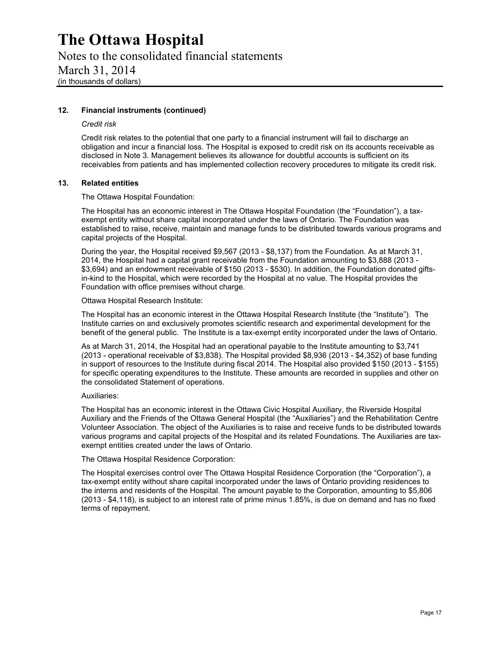Notes to the consolidated financial statements March 31, 2014 (in thousands of dollars)

#### **12. Financial instruments (continued)**

#### *Credit risk*

Credit risk relates to the potential that one party to a financial instrument will fail to discharge an obligation and incur a financial loss. The Hospital is exposed to credit risk on its accounts receivable as disclosed in Note 3. Management believes its allowance for doubtful accounts is sufficient on its receivables from patients and has implemented collection recovery procedures to mitigate its credit risk.

#### **13. Related entities**

The Ottawa Hospital Foundation:

The Hospital has an economic interest in The Ottawa Hospital Foundation (the "Foundation"), a taxexempt entity without share capital incorporated under the laws of Ontario. The Foundation was established to raise, receive, maintain and manage funds to be distributed towards various programs and capital projects of the Hospital.

During the year, the Hospital received \$9,567 (2013 - \$8,137) from the Foundation. As at March 31, 2014, the Hospital had a capital grant receivable from the Foundation amounting to \$3,888 (2013 - \$3,694) and an endowment receivable of \$150 (2013 - \$530). In addition, the Foundation donated giftsin-kind to the Hospital, which were recorded by the Hospital at no value. The Hospital provides the Foundation with office premises without charge.

#### Ottawa Hospital Research Institute:

The Hospital has an economic interest in the Ottawa Hospital Research Institute (the "Institute"). The Institute carries on and exclusively promotes scientific research and experimental development for the benefit of the general public. The Institute is a tax-exempt entity incorporated under the laws of Ontario.

As at March 31, 2014, the Hospital had an operational payable to the Institute amounting to \$3,741 (2013 - operational receivable of \$3,838). The Hospital provided \$8,936 (2013 - \$4,352) of base funding in support of resources to the Institute during fiscal 2014. The Hospital also provided \$150 (2013 - \$155) for specific operating expenditures to the Institute. These amounts are recorded in supplies and other on the consolidated Statement of operations.

#### Auxiliaries:

The Hospital has an economic interest in the Ottawa Civic Hospital Auxiliary, the Riverside Hospital Auxiliary and the Friends of the Ottawa General Hospital (the "Auxiliaries") and the Rehabilitation Centre Volunteer Association. The object of the Auxiliaries is to raise and receive funds to be distributed towards various programs and capital projects of the Hospital and its related Foundations. The Auxiliaries are taxexempt entities created under the laws of Ontario.

#### The Ottawa Hospital Residence Corporation:

The Hospital exercises control over The Ottawa Hospital Residence Corporation (the "Corporation"), a tax-exempt entity without share capital incorporated under the laws of Ontario providing residences to the interns and residents of the Hospital. The amount payable to the Corporation, amounting to \$5,806 (2013 - \$4,118), is subject to an interest rate of prime minus 1.85%, is due on demand and has no fixed terms of repayment.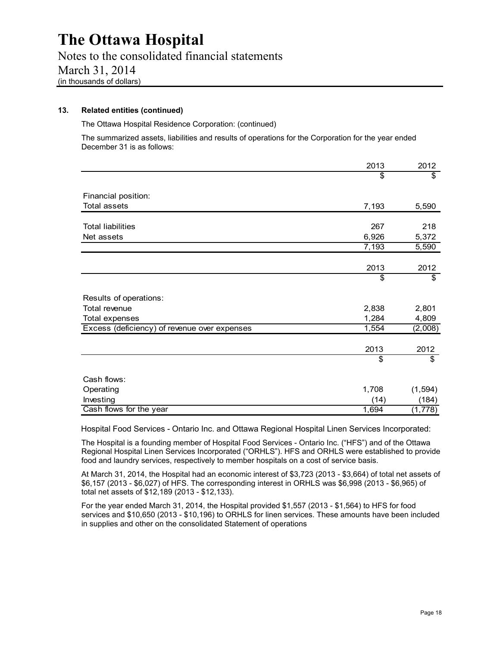Notes to the consolidated financial statements March 31, 2014 (in thousands of dollars)

#### **13. Related entities (continued)**

The Ottawa Hospital Residence Corporation: (continued)

The summarized assets, liabilities and results of operations for the Corporation for the year ended December 31 is as follows:

|                                              | 2013  | 2012     |
|----------------------------------------------|-------|----------|
|                                              | \$    | \$       |
| Financial position:                          |       |          |
| <b>Total assets</b>                          | 7,193 | 5,590    |
|                                              |       |          |
| <b>Total liabilities</b>                     | 267   | 218      |
| Net assets                                   | 6,926 | 5,372    |
|                                              | 7,193 | 5,590    |
|                                              |       |          |
|                                              | 2013  | 2012     |
|                                              | \$    | \$       |
| Results of operations:                       |       |          |
| Total revenue                                | 2,838 | 2,801    |
| Total expenses                               | 1,284 | 4,809    |
| Excess (deficiency) of revenue over expenses | 1,554 | (2,008)  |
|                                              | 2013  | 2012     |
|                                              | \$    | \$       |
|                                              |       |          |
| Cash flows:                                  |       |          |
| Operating                                    | 1,708 | (1, 594) |
| Investing                                    | (14)  | (184)    |
| Cash flows for the year                      | 1,694 | (1,778)  |

Hospital Food Services - Ontario Inc. and Ottawa Regional Hospital Linen Services Incorporated:

The Hospital is a founding member of Hospital Food Services - Ontario Inc. ("HFS") and of the Ottawa Regional Hospital Linen Services Incorporated ("ORHLS"). HFS and ORHLS were established to provide food and laundry services, respectively to member hospitals on a cost of service basis.

At March 31, 2014, the Hospital had an economic interest of \$3,723 (2013 - \$3,664) of total net assets of \$6,157 (2013 - \$6,027) of HFS. The corresponding interest in ORHLS was \$6,998 (2013 - \$6,965) of total net assets of \$12,189 (2013 - \$12,133).

For the year ended March 31, 2014, the Hospital provided \$1,557 (2013 - \$1,564) to HFS for food services and \$10,650 (2013 - \$10,196) to ORHLS for linen services. These amounts have been included in supplies and other on the consolidated Statement of operations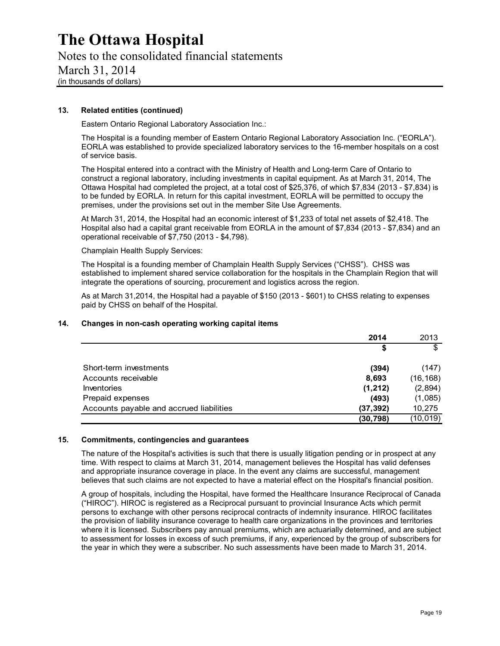Notes to the consolidated financial statements March 31, 2014 (in thousands of dollars)

#### **13. Related entities (continued)**

Eastern Ontario Regional Laboratory Association Inc.:

The Hospital is a founding member of Eastern Ontario Regional Laboratory Association Inc. ("EORLA"). EORLA was established to provide specialized laboratory services to the 16-member hospitals on a cost of service basis.

The Hospital entered into a contract with the Ministry of Health and Long-term Care of Ontario to construct a regional laboratory, including investments in capital equipment. As at March 31, 2014, The Ottawa Hospital had completed the project, at a total cost of \$25,376, of which \$7,834 (2013 - \$7,834) is to be funded by EORLA. In return for this capital investment, EORLA will be permitted to occupy the premises, under the provisions set out in the member Site Use Agreements.

At March 31, 2014, the Hospital had an economic interest of \$1,233 of total net assets of \$2,418. The Hospital also had a capital grant receivable from EORLA in the amount of \$7,834 (2013 - \$7,834) and an operational receivable of \$7,750 (2013 - \$4,798).

Champlain Health Supply Services:

The Hospital is a founding member of Champlain Health Supply Services ("CHSS"). CHSS was established to implement shared service collaboration for the hospitals in the Champlain Region that will integrate the operations of sourcing, procurement and logistics across the region.

As at March 31,2014, the Hospital had a payable of \$150 (2013 - \$601) to CHSS relating to expenses paid by CHSS on behalf of the Hospital.

#### **14. Changes in non-cash operating working capital items**

|                                          | 2014      | 2013      |
|------------------------------------------|-----------|-----------|
|                                          | \$        | \$        |
| Short-term investments                   | (394)     | (147)     |
| Accounts receivable                      | 8,693     | (16, 168) |
| Inventories                              | (1, 212)  | (2,894)   |
| Prepaid expenses                         | (493)     | (1,085)   |
| Accounts payable and accrued liabilities | (37,392)  | 10,275    |
|                                          | (30, 798) | (10, 019) |

#### **15. Commitments, contingencies and guarantees**

The nature of the Hospital's activities is such that there is usually litigation pending or in prospect at any time. With respect to claims at March 31, 2014, management believes the Hospital has valid defenses and appropriate insurance coverage in place. In the event any claims are successful, management believes that such claims are not expected to have a material effect on the Hospital's financial position.

A group of hospitals, including the Hospital, have formed the Healthcare Insurance Reciprocal of Canada ("HIROC"). HIROC is registered as a Reciprocal pursuant to provincial Insurance Acts which permit persons to exchange with other persons reciprocal contracts of indemnity insurance. HIROC facilitates the provision of liability insurance coverage to health care organizations in the provinces and territories where it is licensed. Subscribers pay annual premiums, which are actuarially determined, and are subject to assessment for losses in excess of such premiums, if any, experienced by the group of subscribers for the year in which they were a subscriber. No such assessments have been made to March 31, 2014.